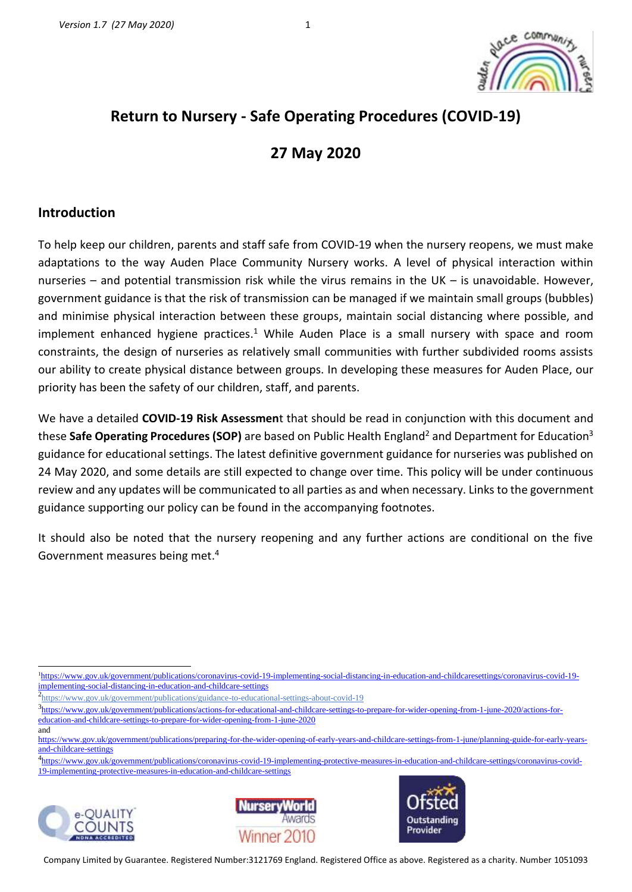# **Return to Nursery - Safe Operating Procedures (COVID-19)**

# **27 May 2020**

## **Introduction**

To help keep our children, parents and staff safe from COVID-19 when the nursery reopens, we must make adaptations to the way Auden Place Community Nursery works. A level of physical interaction within nurseries – and potential transmission risk while the virus remains in the UK – is unavoidable. However, government guidance is that the risk of transmission can be managed if we maintain small groups (bubbles) and minimise physical interaction between these groups, maintain social distancing where possible, and implement enhanced hygiene practices.<sup>1</sup> While Auden Place is a small nursery with space and room constraints, the design of nurseries as relatively small communities with further subdivided rooms assists our ability to create physical distance between groups. In developing these measures for Auden Place, our priority has been the safety of our children, staff, and parents.

We have a detailed **COVID-19 Risk Assessmen**t that should be read in conjunction with this document and these Safe Operating Procedures (SOP) are based on Public Health England<sup>2</sup> and Department for Education<sup>3</sup> guidance for educational settings. The latest definitive government guidance for nurseries was published on 24 May 2020, and some details are still expected to change over time. This policy will be under continuous review and any updates will be communicated to all parties as and when necessary. Links to the government guidance supporting our policy can be found in the accompanying footnotes.

It should also be noted that the nursery reopening and any further actions are conditional on the five Government measures being met. 4

<sup>4</sup> [https://www.gov.uk/government/publications/coronavirus-covid-19-implementing-protective-measures-in-education-and-childcare-settings/coronavirus-covid-](https://www.gov.uk/government/publications/coronavirus-covid-19-implementing-protective-measures-in-education-and-childcare-settings/coronavirus-covid-19-implementing-protective-measures-in-education-and-childcare-settings)[19-implementing-protective-measures-in-education-and-childcare-settings](https://www.gov.uk/government/publications/coronavirus-covid-19-implementing-protective-measures-in-education-and-childcare-settings/coronavirus-covid-19-implementing-protective-measures-in-education-and-childcare-settings)







<sup>&</sup>lt;sup>1</sup>[https://www.gov.uk/government/publications/coronavirus-covid-19-implementing-social-distancing-in-education-and-childcaresettings/coronavirus-covid-19](https://www.gov.uk/government/publications/coronavirus-covid-19-implementing-social-distancing-in-education-and-childcaresettings/coronavirus-covid-19-implementing-social-distancing-in-education-and-childcare-settings) [implementing-social-distancing-in-education-and-childcare-settings](https://www.gov.uk/government/publications/coronavirus-covid-19-implementing-social-distancing-in-education-and-childcaresettings/coronavirus-covid-19-implementing-social-distancing-in-education-and-childcare-settings)

<sup>&</sup>lt;sup>2</sup><https://www.gov.uk/government/publications/guidance-to-educational-settings-about-covid-19>

<sup>&</sup>lt;sup>3</sup>[https://www.gov.uk/government/publications/actions-for-educational-and-childcare-settings-to-prepare-for-wider-opening-from-1-june-2020/actions-for](https://www.gov.uk/government/publications/actions-for-educational-and-childcare-settings-to-prepare-for-wider-opening-from-1-june-2020/actions-for-education-and-childcare-settings-to-prepare-for-wider-opening-from-1-june-2020)[education-and-childcare-settings-to-prepare-for-wider-opening-from-1-june-2020](https://www.gov.uk/government/publications/actions-for-educational-and-childcare-settings-to-prepare-for-wider-opening-from-1-june-2020/actions-for-education-and-childcare-settings-to-prepare-for-wider-opening-from-1-june-2020) and

https://www.gov.uk/government/publications/preparing-for-the-wider-opening-of-early-years-and-childcare-settings-from-1-june/planning-guide-for-early-yearsand-childcare-settings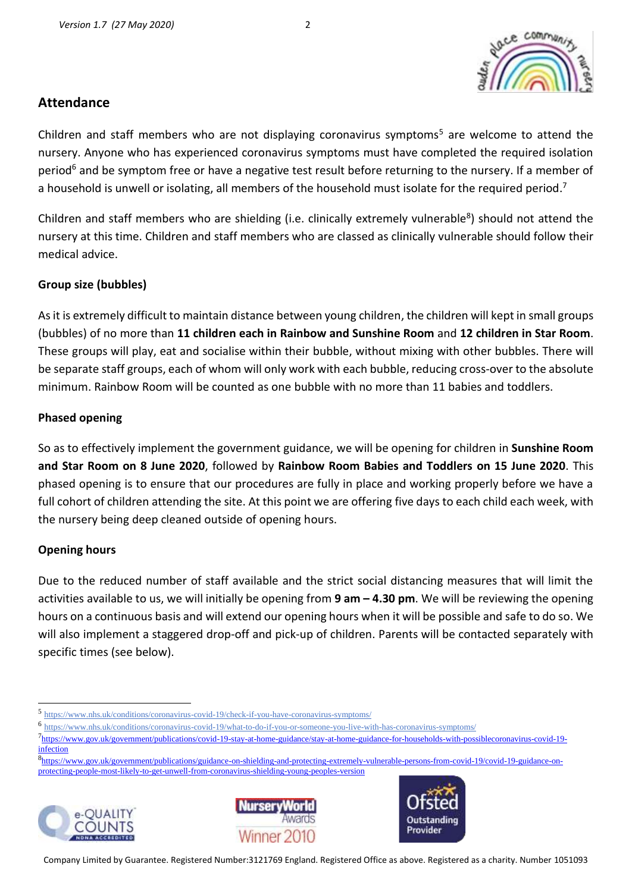# **Attendance**

Children and staff members who are not displaying coronavirus symptoms<sup>5</sup> are welcome to attend the nursery. Anyone who has experienced coronavirus symptoms must have completed the required isolation period<sup>6</sup> and be symptom free or have a negative test result before returning to the nursery. If a member of a household is unwell or isolating, all members of the household must isolate for the required period.<sup>7</sup>

Children and staff members who are shielding (i.e. clinically extremely vulnerable<sup>8</sup>) should not attend the nursery at this time. Children and staff members who are classed as clinically vulnerable should follow their medical advice.

#### **Group size (bubbles)**

As it is extremely difficult to maintain distance between young children, the children will kept in small groups (bubbles) of no more than **11 children each in Rainbow and Sunshine Room** and **12 children in Star Room**. These groups will play, eat and socialise within their bubble, without mixing with other bubbles. There will be separate staff groups, each of whom will only work with each bubble, reducing cross-over to the absolute minimum. Rainbow Room will be counted as one bubble with no more than 11 babies and toddlers.

#### **Phased opening**

So as to effectively implement the government guidance, we will be opening for children in **Sunshine Room and Star Room on 8 June 2020**, followed by **Rainbow Room Babies and Toddlers on 15 June 2020**. This phased opening is to ensure that our procedures are fully in place and working properly before we have a full cohort of children attending the site. At this point we are offering five days to each child each week, with the nursery being deep cleaned outside of opening hours.

#### **Opening hours**

Due to the reduced number of staff available and the strict social distancing measures that will limit the activities available to us, we will initially be opening from **9 am – 4.30 pm**. We will be reviewing the opening hours on a continuous basis and will extend our opening hours when it will be possible and safe to do so. We will also implement a staggered drop-off and pick-up of children. Parents will be contacted separately with specific times (see below).

<sup>8&</sup>lt;sub>https://www.gov.uk/government/publications/guidance-on-shielding-and-protecting-extremely-vulnerable-persons-from-covid-19/covid-19-guidance-on-</sub> [protecting-people-most-likely-to-get-unwell-from-coronavirus-shielding-young-peoples-version](https://www.gov.uk/government/publications/guidance-on-shielding-and-protecting-extremely-vulnerable-persons-from-covid-19/covid-19-guidance-on-protecting-people-most-likely-to-get-unwell-from-coronavirus-shielding-young-peoples-version)







<sup>5</sup> <https://www.nhs.uk/conditions/coronavirus-covid-19/check-if-you-have-coronavirus-symptoms/>

<sup>6</sup> <https://www.nhs.uk/conditions/coronavirus-covid-19/what-to-do-if-you-or-someone-you-live-with-has-coronavirus-symptoms/>

<sup>&</sup>lt;sup>7</sup>[https://www.gov.uk/government/publications/covid-19-stay-at-home-guidance/stay-at-home-guidance-for-households-with-possiblecoronavirus-covid-19](https://www.gov.uk/government/publications/covid-19-stay-at-home-guidance/stay-at-home-guidance-for-households-with-possiblecoronavirus-covid-19-infection) [infection](https://www.gov.uk/government/publications/covid-19-stay-at-home-guidance/stay-at-home-guidance-for-households-with-possiblecoronavirus-covid-19-infection)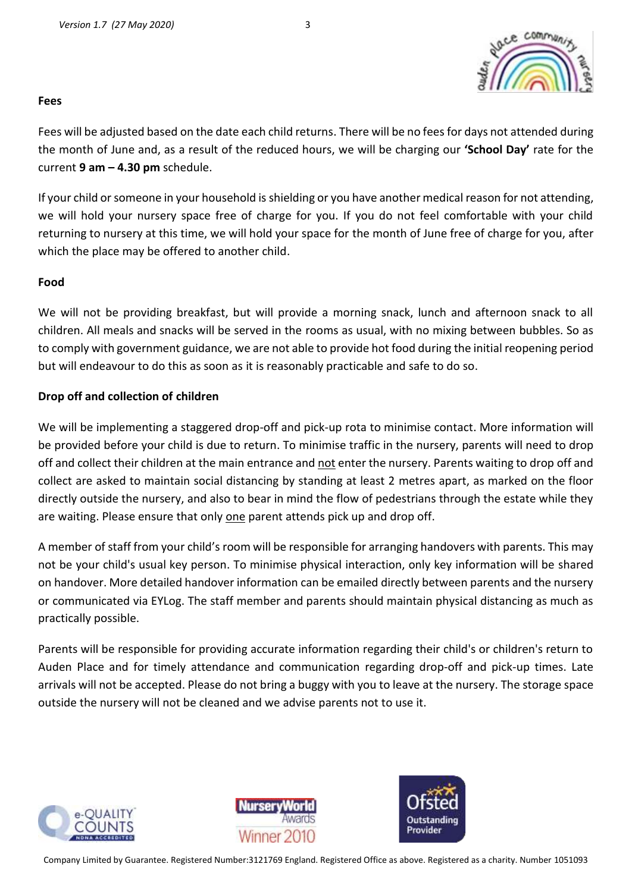

#### **Fees**

Fees will be adjusted based on the date each child returns. There will be no fees for days not attended during the month of June and, as a result of the reduced hours, we will be charging our **'School Day'** rate for the current **9 am – 4.30 pm** schedule.

If your child or someone in your household is shielding or you have another medical reason for not attending, we will hold your nursery space free of charge for you. If you do not feel comfortable with your child returning to nursery at this time, we will hold your space for the month of June free of charge for you, after which the place may be offered to another child.

#### **Food**

We will not be providing breakfast, but will provide a morning snack, lunch and afternoon snack to all children. All meals and snacks will be served in the rooms as usual, with no mixing between bubbles. So as to comply with government guidance, we are not able to provide hot food during the initial reopening period but will endeavour to do this as soon as it is reasonably practicable and safe to do so.

#### **Drop off and collection of children**

We will be implementing a staggered drop-off and pick-up rota to minimise contact. More information will be provided before your child is due to return. To minimise traffic in the nursery, parents will need to drop off and collect their children at the main entrance and not enter the nursery. Parents waiting to drop off and collect are asked to maintain social distancing by standing at least 2 metres apart, as marked on the floor directly outside the nursery, and also to bear in mind the flow of pedestrians through the estate while they are waiting. Please ensure that only one parent attends pick up and drop off.

A member of staff from your child's room will be responsible for arranging handovers with parents. This may not be your child's usual key person. To minimise physical interaction, only key information will be shared on handover. More detailed handover information can be emailed directly between parents and the nursery or communicated via EYLog. The staff member and parents should maintain physical distancing as much as practically possible.

Parents will be responsible for providing accurate information regarding their child's or children's return to Auden Place and for timely attendance and communication regarding drop-off and pick-up times. Late arrivals will not be accepted. Please do not bring a buggy with you to leave at the nursery. The storage space outside the nursery will not be cleaned and we advise parents not to use it.





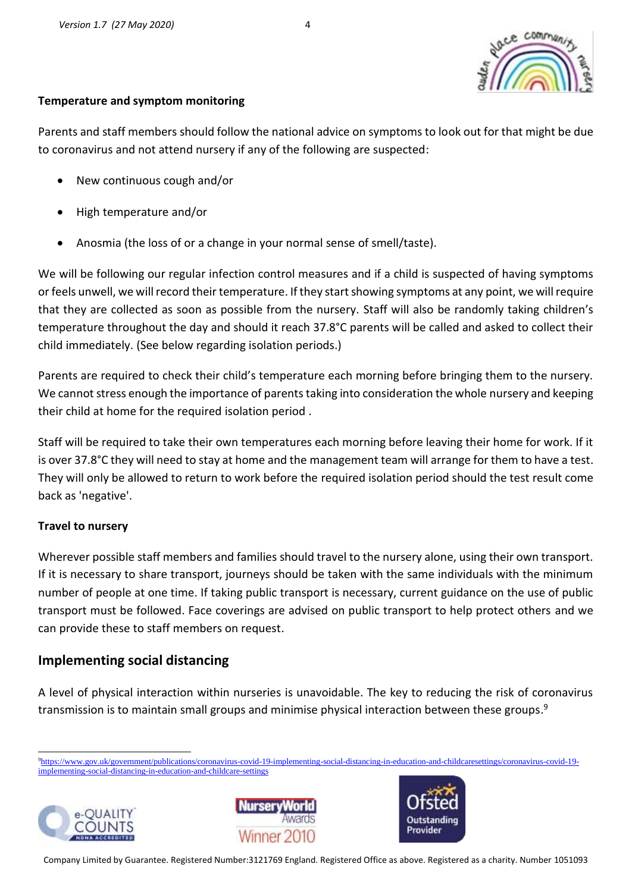

#### **Temperature and symptom monitoring**

Parents and staff members should follow the national advice on symptoms to look out for that might be due to coronavirus and not attend nursery if any of the following are suspected:

- New continuous cough and/or
- High temperature and/or
- Anosmia (the loss of or a change in your normal sense of smell/taste).

We will be following our regular infection control measures and if a child is suspected of having symptoms or feels unwell, we will record their temperature. If they start showing symptoms at any point, we will require that they are collected as soon as possible from the nursery. Staff will also be randomly taking children's temperature throughout the day and should it reach 37.8°C parents will be called and asked to collect their child immediately. (See below regarding isolation periods.)

Parents are required to check their child's temperature each morning before bringing them to the nursery. We cannot stress enough the importance of parents taking into consideration the whole nursery and keeping their child at home for the required isolation period .

Staff will be required to take their own temperatures each morning before leaving their home for work. If it is over 37.8°C they will need to stay at home and the management team will arrange for them to have a test. They will only be allowed to return to work before the required isolation period should the test result come back as 'negative'.

#### **Travel to nursery**

Wherever possible staff members and families should travel to the nursery alone, using their own transport. If it is necessary to share transport, journeys should be taken with the same individuals with the minimum number of people at one time. If taking public transport is necessary, current guidance on the use of public transport must be followed. Face coverings are advised on public transport to help protect others and we can provide these to staff members on request.

# **Implementing social distancing**

A level of physical interaction within nurseries is unavoidable. The key to reducing the risk of coronavirus transmission is to maintain small groups and minimise physical interaction between these groups.<sup>9</sup>

<sup>9</sup>[https://www.gov.uk/government/publications/coronavirus-covid-19-implementing-social-distancing-in-education-and-childcaresettings/coronavirus-covid-19](https://www.gov.uk/government/publications/coronavirus-covid-19-implementing-social-distancing-in-education-and-childcaresettings/coronavirus-covid-19-implementing-social-distancing-in-education-and-childcare-settings) [implementing-social-distancing-in-education-and-childcare-settings](https://www.gov.uk/government/publications/coronavirus-covid-19-implementing-social-distancing-in-education-and-childcaresettings/coronavirus-covid-19-implementing-social-distancing-in-education-and-childcare-settings)





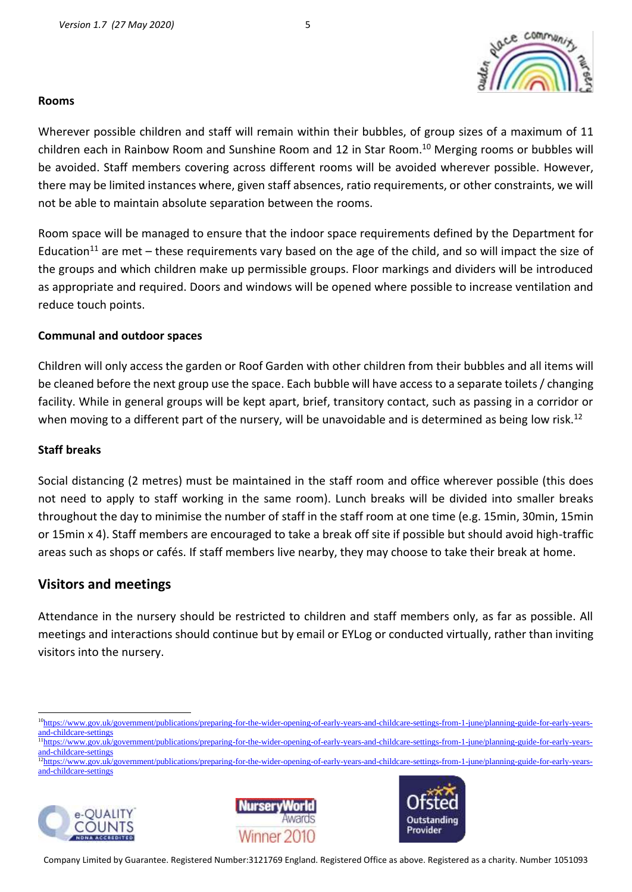#### **Rooms**

Wherever possible children and staff will remain within their bubbles, of group sizes of a maximum of 11 children each in Rainbow Room and Sunshine Room and 12 in Star Room. <sup>10</sup> Merging rooms or bubbles will be avoided. Staff members covering across different rooms will be avoided wherever possible. However, there may be limited instances where, given staff absences, ratio requirements, or other constraints, we will not be able to maintain absolute separation between the rooms.

Room space will be managed to ensure that the indoor space requirements defined by the Department for Education<sup>11</sup> are met – these requirements vary based on the age of the child, and so will impact the size of the groups and which children make up permissible groups. Floor markings and dividers will be introduced as appropriate and required. Doors and windows will be opened where possible to increase ventilation and reduce touch points.

#### **Communal and outdoor spaces**

Children will only access the garden or Roof Garden with other children from their bubbles and all items will be cleaned before the next group use the space. Each bubble will have access to a separate toilets / changing facility. While in general groups will be kept apart, brief, transitory contact, such as passing in a corridor or when moving to a different part of the nursery, will be unavoidable and is determined as being low risk.<sup>12</sup>

#### **Staff breaks**

Social distancing (2 metres) must be maintained in the staff room and office wherever possible (this does not need to apply to staff working in the same room). Lunch breaks will be divided into smaller breaks throughout the day to minimise the number of staff in the staff room at one time (e.g. 15min, 30min, 15min or 15min x 4). Staff members are encouraged to take a break off site if possible but should avoid high-traffic areas such as shops or cafés. If staff members live nearby, they may choose to take their break at home.

# **Visitors and meetings**

Attendance in the nursery should be restricted to children and staff members only, as far as possible. All meetings and interactions should continue but by email or EYLog or conducted virtually, rather than inviting visitors into the nursery.

<sup>&</sup>lt;sup>12</sup>https://www.gov.u<u>k/government/publications/preparing-for-the-wider-opening-of-early-years-and-childcare-settings-from-1-june/planning-guide-for-early-years-<br><sup>12</sup>https://www.gov.u<u>k/government/publications/preparing-fo</u></u> [and-childcare-settings](https://www.gov.uk/government/publications/preparing-for-the-wider-opening-of-early-years-and-childcare-settings-from-1-june/planning-guide-for-early-years-and-childcare-settings)







<sup>&</sup>lt;sup>10</sup>[https://www.gov.uk/government/publications/preparing-for-the-wider-opening-of-early-years-and-childcare-settings-from-1-june/planning-guide-for-early-years](https://www.gov.uk/government/publications/preparing-for-the-wider-opening-of-early-years-and-childcare-settings-from-1-june/planning-guide-for-early-years-and-childcare-settings)[and-childcare-settings](https://www.gov.uk/government/publications/preparing-for-the-wider-opening-of-early-years-and-childcare-settings-from-1-june/planning-guide-for-early-years-and-childcare-settings)

<sup>&</sup>lt;sup>11</sup>https://www.gov.uk/government/publications/preparing-for-the-wider-opening-of-early-years-and-childcare-settings-from-1-june/planning-guide-for-early-yearsand-childcare-settings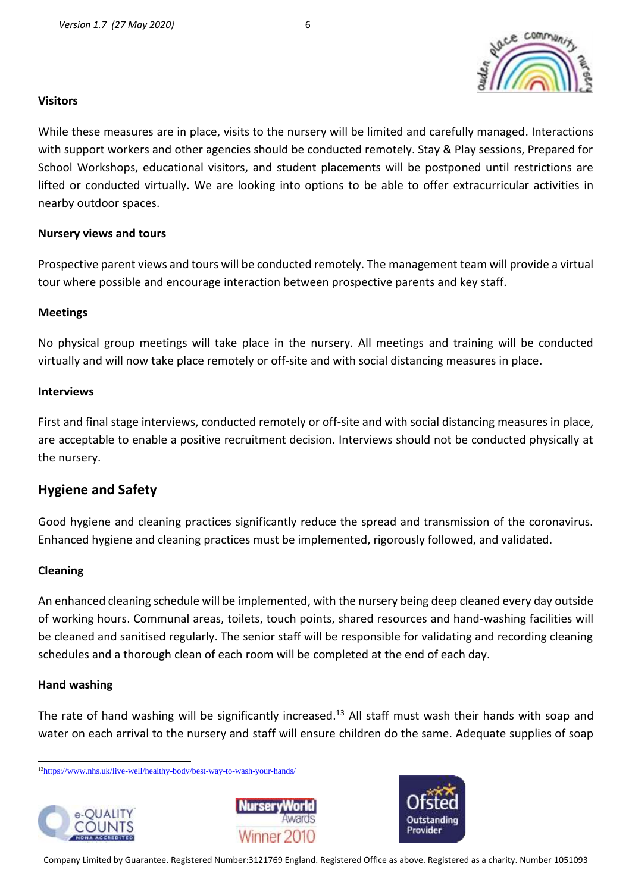

#### **Visitors**

While these measures are in place, visits to the nursery will be limited and carefully managed. Interactions with support workers and other agencies should be conducted remotely. Stay & Play sessions, Prepared for School Workshops, educational visitors, and student placements will be postponed until restrictions are lifted or conducted virtually. We are looking into options to be able to offer extracurricular activities in nearby outdoor spaces.

#### **Nursery views and tours**

Prospective parent views and tours will be conducted remotely. The management team will provide a virtual tour where possible and encourage interaction between prospective parents and key staff.

#### **Meetings**

No physical group meetings will take place in the nursery. All meetings and training will be conducted virtually and will now take place remotely or off-site and with social distancing measures in place.

#### **Interviews**

First and final stage interviews, conducted remotely or off-site and with social distancing measures in place, are acceptable to enable a positive recruitment decision. Interviews should not be conducted physically at the nursery.

# **Hygiene and Safety**

Good hygiene and cleaning practices significantly reduce the spread and transmission of the coronavirus. Enhanced hygiene and cleaning practices must be implemented, rigorously followed, and validated.

#### **Cleaning**

An enhanced cleaning schedule will be implemented, with the nursery being deep cleaned every day outside of working hours. Communal areas, toilets, touch points, shared resources and hand-washing facilities will be cleaned and sanitised regularly. The senior staff will be responsible for validating and recording cleaning schedules and a thorough clean of each room will be completed at the end of each day.

#### **Hand washing**

The rate of hand washing will be significantly increased.<sup>13</sup> All staff must wash their hands with soap and water on each arrival to the nursery and staff will ensure children do the same. Adequate supplies of soap

<sup>13</sup><https://www.nhs.uk/live-well/healthy-body/best-way-to-wash-your-hands/>





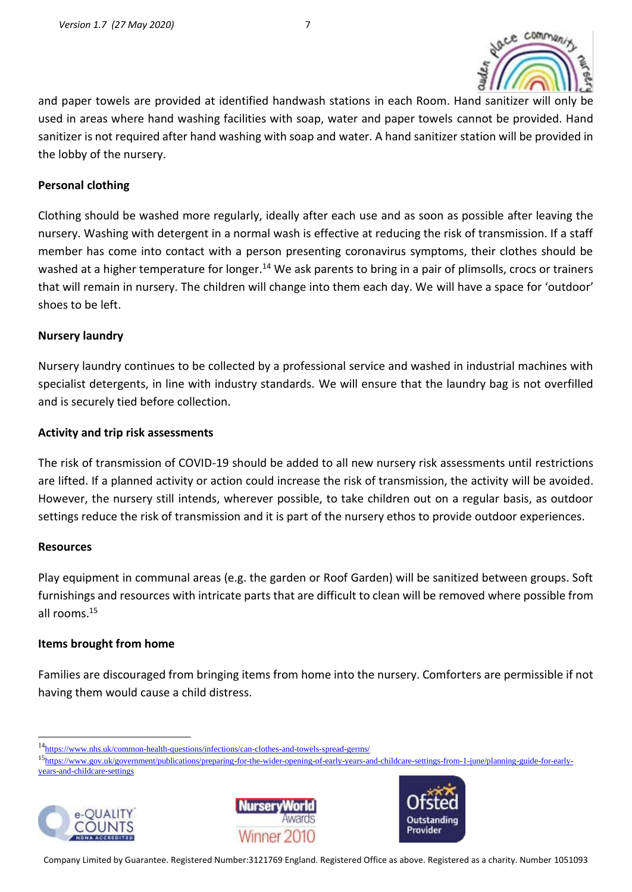

and paper towels are provided at identified handwash stations in each Room. Hand sanitizer will only be used in areas where hand washing facilities with soap, water and paper towels cannot be provided. Hand sanitizer is not required after hand washing with soap and water. A hand sanitizer station will be provided in the lobby of the nursery.

#### **Personal clothing**

Clothing should be washed more regularly, ideally after each use and as soon as possible after leaving the nursery. Washing with detergent in a normal wash is effective at reducing the risk of transmission. If a staff member has come into contact with a person presenting coronavirus symptoms, their clothes should be washed at a higher temperature for longer.<sup>14</sup> We ask parents to bring in a pair of plimsolls, crocs or trainers that will remain in nursery. The children will change into them each day. We will have a space for 'outdoor' shoes to be left.

#### **Nursery laundry**

Nursery laundry continues to be collected by a professional service and washed in industrial machines with specialist detergents, in line with industry standards. We will ensure that the laundry bag is not overfilled and is securely tied before collection.

#### **Activity and trip risk assessments**

The risk of transmission of COVID-19 should be added to all new nursery risk assessments until restrictions are lifted. If a planned activity or action could increase the risk of transmission, the activity will be avoided. However, the nursery still intends, wherever possible, to take children out on a regular basis, as outdoor settings reduce the risk of transmission and it is part of the nursery ethos to provide outdoor experiences.

#### **Resources**

Play equipment in communal areas (e.g. the garden or Roof Garden) will be sanitized between groups. Soft furnishings and resources with intricate parts that are difficult to clean will be removed where possible from all rooms.<sup>15</sup>

#### **Items brought from home**

Families are discouraged from bringing items from home into the nursery. Comforters are permissible if not having them would cause a child distress.

<sup>15</sup>[https://www.gov.uk/government/publications/preparing-for-the-wider-opening-of-early-years-and-childcare-settings-from-1-june/planning-guide-for-early](https://www.gov.uk/government/publications/preparing-for-the-wider-opening-of-early-years-and-childcare-settings-from-1-june/planning-guide-for-early-years-and-childcare-settings)[years-and-childcare-settings](https://www.gov.uk/government/publications/preparing-for-the-wider-opening-of-early-years-and-childcare-settings-from-1-june/planning-guide-for-early-years-and-childcare-settings)







<sup>14</sup><https://www.nhs.uk/common-health-questions/infections/can-clothes-and-towels-spread-germs/>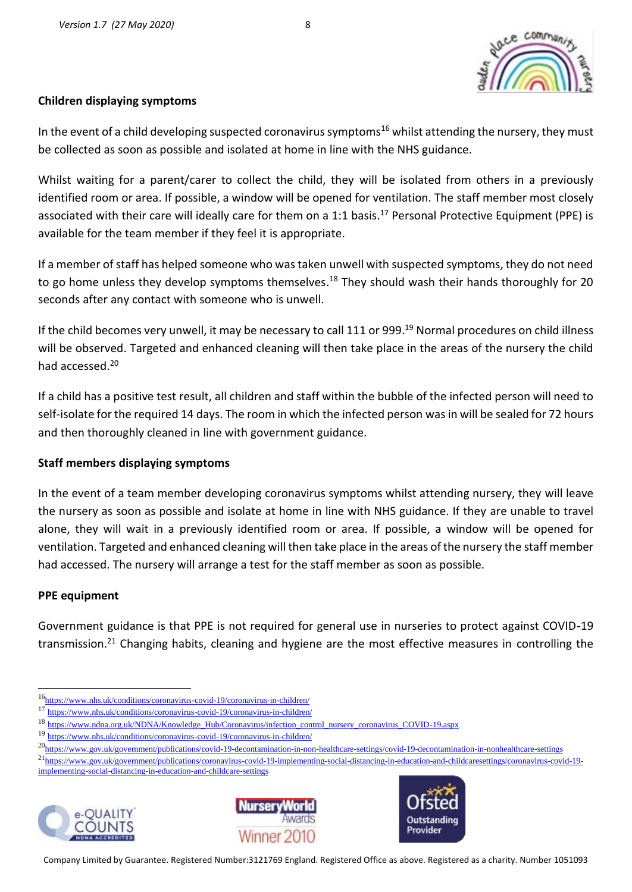

#### **Children displaying symptoms**

In the event of a child developing suspected coronavirus symptoms<sup>16</sup> whilst attending the nursery, they must be collected as soon as possible and isolated at home in line with the NHS guidance.

Whilst waiting for a parent/carer to collect the child, they will be isolated from others in a previously identified room or area. If possible, a window will be opened for ventilation. The staff member most closely associated with their care will ideally care for them on a 1:1 basis. <sup>17</sup> Personal Protective Equipment (PPE) is available for the team member if they feel it is appropriate.

If a member of staff has helped someone who was taken unwell with suspected symptoms, they do not need to go home unless they develop symptoms themselves.<sup>18</sup> They should wash their hands thoroughly for 20 seconds after any contact with someone who is unwell.

If the child becomes very unwell, it may be necessary to call 111 or 999.<sup>19</sup> Normal procedures on child illness will be observed. Targeted and enhanced cleaning will then take place in the areas of the nursery the child had accessed. 20

If a child has a positive test result, all children and staff within the bubble of the infected person will need to self-isolate for the required 14 days. The room in which the infected person was in will be sealed for 72 hours and then thoroughly cleaned in line with government guidance.

#### **Staff members displaying symptoms**

In the event of a team member developing coronavirus symptoms whilst attending nursery, they will leave the nursery as soon as possible and isolate at home in line with NHS guidance. If they are unable to travel alone, they will wait in a previously identified room or area. If possible, a window will be opened for ventilation. Targeted and enhanced cleaning will then take place in the areas of the nursery the staff member had accessed. The nursery will arrange a test for the staff member as soon as possible.

#### **PPE equipment**

Government guidance is that PPE is not required for general use in nurseries to protect against COVID-19 transmission.<sup>21</sup> Changing habits, cleaning and hygiene are the most effective measures in controlling the

<sup>&</sup>lt;sup>21</sup>[https://www.gov.uk/government/publications/coronavirus-covid-19-implementing-social-distancing-in-education-and-childcaresettings/coronavirus-covid-19](https://www.gov.uk/government/publications/coronavirus-covid-19-implementing-social-distancing-in-education-and-childcaresettings/coronavirus-covid-19-implementing-social-distancing-in-education-and-childcare-settings) [implementing-social-distancing-in-education-and-childcare-settings](https://www.gov.uk/government/publications/coronavirus-covid-19-implementing-social-distancing-in-education-and-childcaresettings/coronavirus-covid-19-implementing-social-distancing-in-education-and-childcare-settings)







<sup>16</sup><https://www.nhs.uk/conditions/coronavirus-covid-19/coronavirus-in-children/>

<sup>17</sup> <https://www.nhs.uk/conditions/coronavirus-covid-19/coronavirus-in-children/>

<sup>18</sup> [https://www.ndna.org.uk/NDNA/Knowledge\\_Hub/Coronavirus/infection\\_control\\_nursery\\_coronavirus\\_COVID-19.aspx](https://www.ndna.org.uk/NDNA/Knowledge_Hub/Coronavirus/infection_control_nursery_coronavirus_COVID-19.aspx)

<sup>19</sup> <https://www.nhs.uk/conditions/coronavirus-covid-19/coronavirus-in-children/>

<sup>20</sup><https://www.gov.uk/government/publications/covid-19-decontamination-in-non-healthcare-settings/covid-19-decontamination-in-nonhealthcare-settings>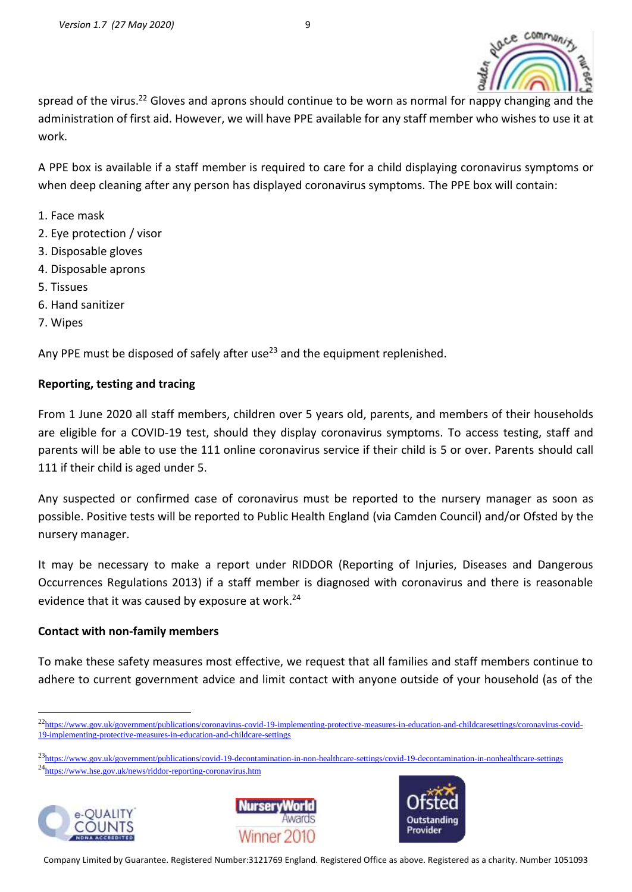

spread of the virus.<sup>22</sup> Gloves and aprons should continue to be worn as normal for nappy changing and the administration of first aid. However, we will have PPE available for any staff member who wishes to use it at work.

A PPE box is available if a staff member is required to care for a child displaying coronavirus symptoms or when deep cleaning after any person has displayed coronavirus symptoms. The PPE box will contain:

- 1. Face mask
- 2. Eye protection / visor
- 3. Disposable gloves
- 4. Disposable aprons
- 5. Tissues
- 6. Hand sanitizer
- 7. Wipes

Any PPE must be disposed of safely after use<sup>23</sup> and the equipment replenished.

#### **Reporting, testing and tracing**

From 1 June 2020 all staff members, children over 5 years old, parents, and members of their households are eligible for a COVID-19 test, should they display coronavirus symptoms. To access testing, staff and parents will be able to use the 111 online coronavirus service if their child is 5 or over. Parents should call 111 if their child is aged under 5.

Any suspected or confirmed case of coronavirus must be reported to the nursery manager as soon as possible. Positive tests will be reported to Public Health England (via Camden Council) and/or Ofsted by the nursery manager.

It may be necessary to make a report under RIDDOR (Reporting of Injuries, Diseases and Dangerous Occurrences Regulations 2013) if a staff member is diagnosed with coronavirus and there is reasonable evidence that it was caused by exposure at work. 24

#### **Contact with non-family members**

To make these safety measures most effective, we request that all families and staff members continue to adhere to current government advice and limit contact with anyone outside of your household (as of the

<sup>23</sup><https://www.gov.uk/government/publications/covid-19-decontamination-in-non-healthcare-settings/covid-19-decontamination-in-nonhealthcare-settings> <sup>24</sup><https://www.hse.gov.uk/news/riddor-reporting-coronavirus.htm>







<sup>&</sup>lt;sup>22</sup>[https://www.gov.uk/government/publications/coronavirus-covid-19-implementing-protective-measures-in-education-and-childcaresettings/coronavirus-covid-](https://www.gov.uk/government/publications/coronavirus-covid-19-implementing-protective-measures-in-education-and-childcaresettings/coronavirus-covid-19-implementing-protective-measures-in-education-and-childcare-settings)[19-implementing-protective-measures-in-education-and-childcare-settings](https://www.gov.uk/government/publications/coronavirus-covid-19-implementing-protective-measures-in-education-and-childcaresettings/coronavirus-covid-19-implementing-protective-measures-in-education-and-childcare-settings)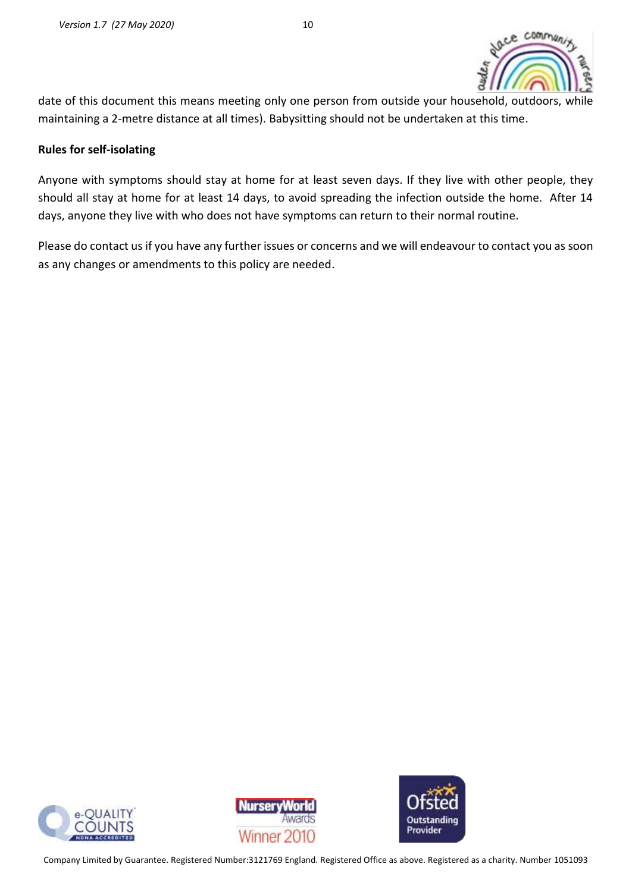

date of this document this means meeting only one person from outside your household, outdoors, while maintaining a 2-metre distance at all times). Babysitting should not be undertaken at this time.

#### **Rules for self-isolating**

Anyone with symptoms should stay at home for at least seven days. If they live with other people, they should all stay at home for at least 14 days, to avoid spreading the infection outside the home. After 14 days, anyone they live with who does not have symptoms can return to their normal routine.

Please do contact us if you have any further issues or concerns and we will endeavour to contact you as soon as any changes or amendments to this policy are needed.